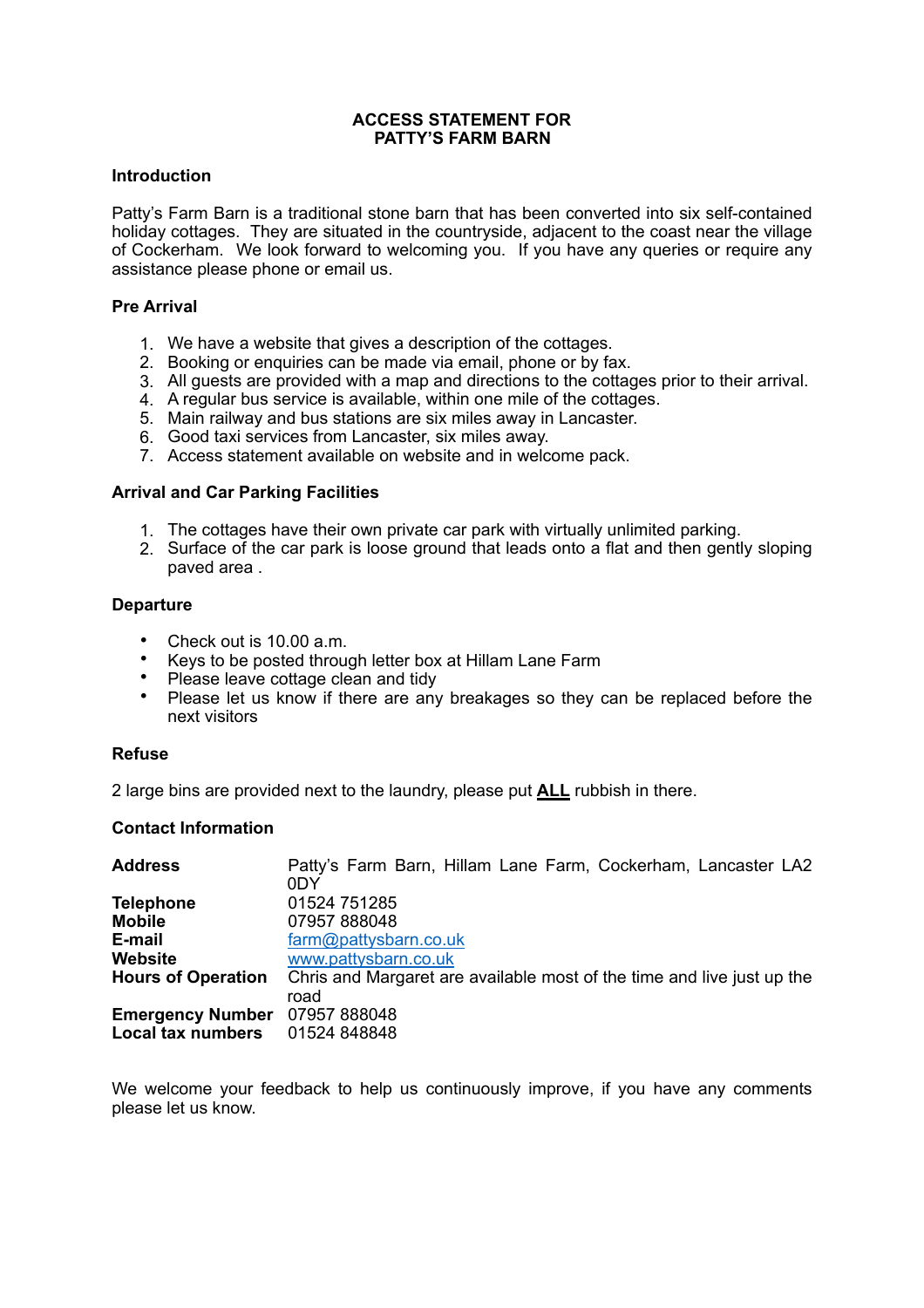## **ACCESS STATEMENT FOR PATTY'S FARM BARN**

## **Introduction**

Patty's Farm Barn is a traditional stone barn that has been converted into six self-contained holiday cottages. They are situated in the countryside, adjacent to the coast near the village of Cockerham. We look forward to welcoming you. If you have any queries or require any assistance please phone or email us.

## **Pre Arrival**

- 1. We have a website that gives a description of the cottages.
- 2. Booking or enquiries can be made via email, phone or by fax.
- 3. All guests are provided with a map and directions to the cottages prior to their arrival.
- 4. A regular bus service is available, within one mile of the cottages.
- 5. Main railway and bus stations are six miles away in Lancaster.
- 6. Good taxi services from Lancaster, six miles away.
- 7. Access statement available on website and in welcome pack.

## **Arrival and Car Parking Facilities**

- 1. The cottages have their own private car park with virtually unlimited parking.
- 2. Surface of the car park is loose ground that leads onto a flat and then gently sloping paved area .

## **Departure**

- Check out is 10.00 a.m.
- Keys to be posted through letter box at Hillam Lane Farm
- Please leave cottage clean and tidy
- Please let us know if there are any breakages so they can be replaced before the next visitors

## **Refuse**

2 large bins are provided next to the laundry, please put **ALL** rubbish in there.

## **Contact Information**

| <b>Address</b>            | Patty's Farm Barn, Hillam Lane Farm, Cockerham, Lancaster LA2          |
|---------------------------|------------------------------------------------------------------------|
|                           | 0DY                                                                    |
| <b>Telephone</b>          | 01524 751285                                                           |
| <b>Mobile</b>             | 07957 888048                                                           |
| E-mail                    | farm@pattysbarn.co.uk                                                  |
| <b>Website</b>            | www.pattysbarn.co.uk                                                   |
| <b>Hours of Operation</b> | Chris and Margaret are available most of the time and live just up the |
|                           | road                                                                   |
| <b>Emergency Number</b>   | 07957 888048                                                           |
| Local tax numbers         | 01524 848848                                                           |

We welcome your feedback to help us continuously improve, if you have any comments please let us know.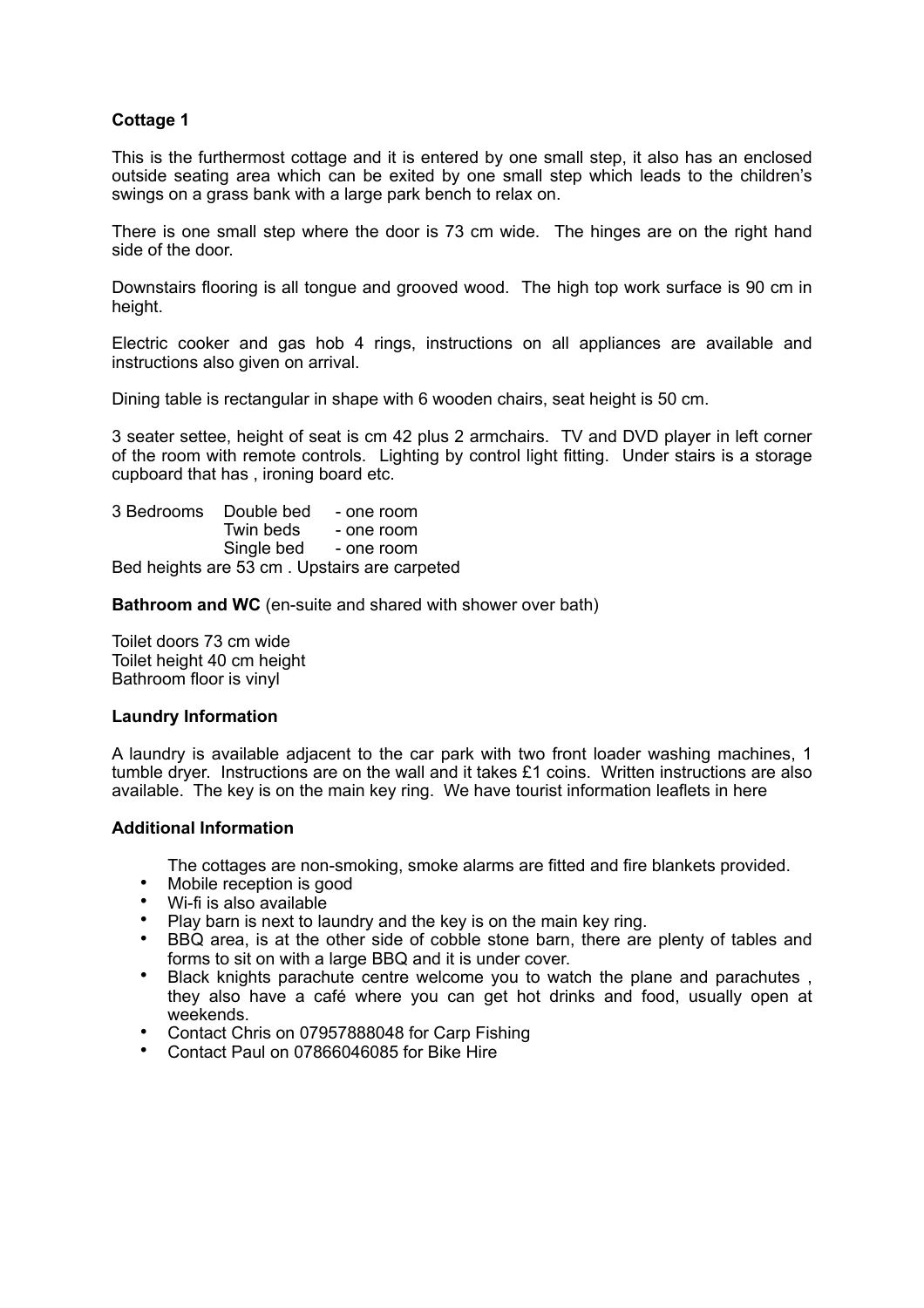This is the furthermost cottage and it is entered by one small step, it also has an enclosed outside seating area which can be exited by one small step which leads to the children's swings on a grass bank with a large park bench to relax on.

There is one small step where the door is 73 cm wide. The hinges are on the right hand side of the door.

Downstairs flooring is all tongue and grooved wood. The high top work surface is 90 cm in height.

Electric cooker and gas hob 4 rings, instructions on all appliances are available and instructions also given on arrival.

Dining table is rectangular in shape with 6 wooden chairs, seat height is 50 cm.

3 seater settee, height of seat is cm 42 plus 2 armchairs. TV and DVD player in left corner of the room with remote controls. Lighting by control light fitting. Under stairs is a storage cupboard that has , ironing board etc.

3 Bedrooms Double bed - one room Twin beds - one room Single bed - one room Bed heights are 53 cm . Upstairs are carpeted

**Bathroom and WC** (en-suite and shared with shower over bath)

Toilet doors 73 cm wide Toilet height 40 cm height Bathroom floor is vinyl

## **Laundry Information**

A laundry is available adjacent to the car park with two front loader washing machines, 1 tumble dryer. Instructions are on the wall and it takes £1 coins. Written instructions are also available. The key is on the main key ring. We have tourist information leaflets in here

## **Additional Information**

The cottages are non-smoking, smoke alarms are fitted and fire blankets provided.

- Mobile reception is good<br>• Wi-fi is also available
- Wi-fi is also available<br>• Play harn is next to la
- Play barn is next to laundry and the key is on the main key ring.
- BBQ area, is at the other side of cobble stone barn, there are plenty of tables and forms to sit on with a large BBQ and it is under cover.
- Black knights parachute centre welcome you to watch the plane and parachutes , they also have a café where you can get hot drinks and food, usually open at weekends.
- Contact Chris on 07957888048 for Carp Fishing<br>• Contact Raul on 07866046085 for Rike Hire
- Contact Paul on 07866046085 for Bike Hire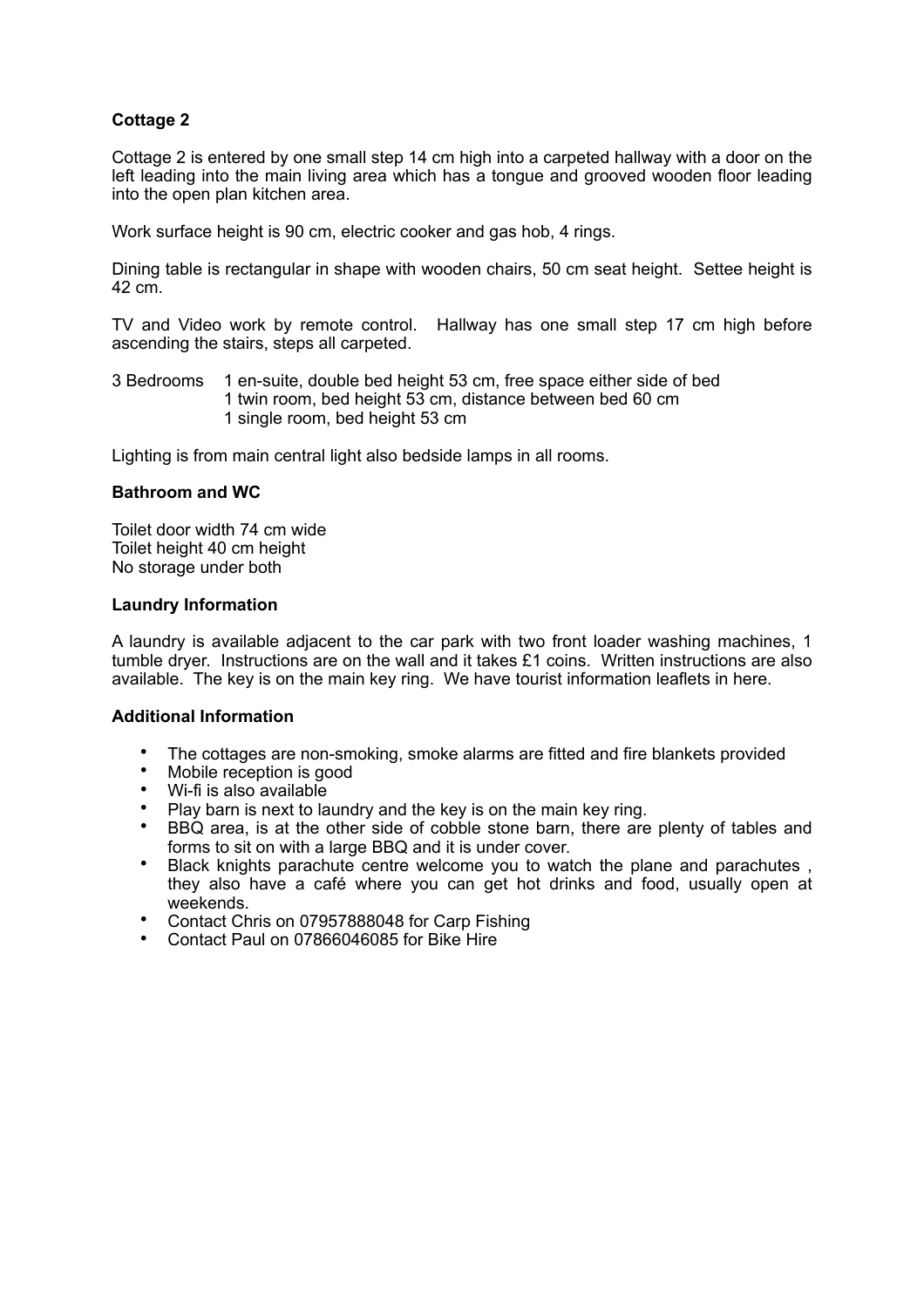Cottage 2 is entered by one small step 14 cm high into a carpeted hallway with a door on the left leading into the main living area which has a tongue and grooved wooden floor leading into the open plan kitchen area.

Work surface height is 90 cm, electric cooker and gas hob, 4 rings.

Dining table is rectangular in shape with wooden chairs, 50 cm seat height. Settee height is 42 cm.

TV and Video work by remote control. Hallway has one small step 17 cm high before ascending the stairs, steps all carpeted.

3 Bedrooms 1 en-suite, double bed height 53 cm, free space either side of bed 1 twin room, bed height 53 cm, distance between bed 60 cm 1 single room, bed height 53 cm

Lighting is from main central light also bedside lamps in all rooms.

## **Bathroom and WC**

Toilet door width 74 cm wide Toilet height 40 cm height No storage under both

## **Laundry Information**

A laundry is available adjacent to the car park with two front loader washing machines, 1 tumble dryer. Instructions are on the wall and it takes £1 coins. Written instructions are also available. The key is on the main key ring. We have tourist information leaflets in here.

- The cottages are non-smoking, smoke alarms are fitted and fire blankets provided<br>• Mobile recention is good
- Mobile reception is good
- Wi-fi is also available
- Play barn is next to laundry and the key is on the main key ring.
- BBQ area, is at the other side of cobble stone barn, there are plenty of tables and forms to sit on with a large BBQ and it is under cover.
- Black knights parachute centre welcome you to watch the plane and parachutes they also have a café where you can get hot drinks and food, usually open at weekends.
- Contact Chris on 07957888048 for Carp Fishing
- Contact Paul on 07866046085 for Bike Hire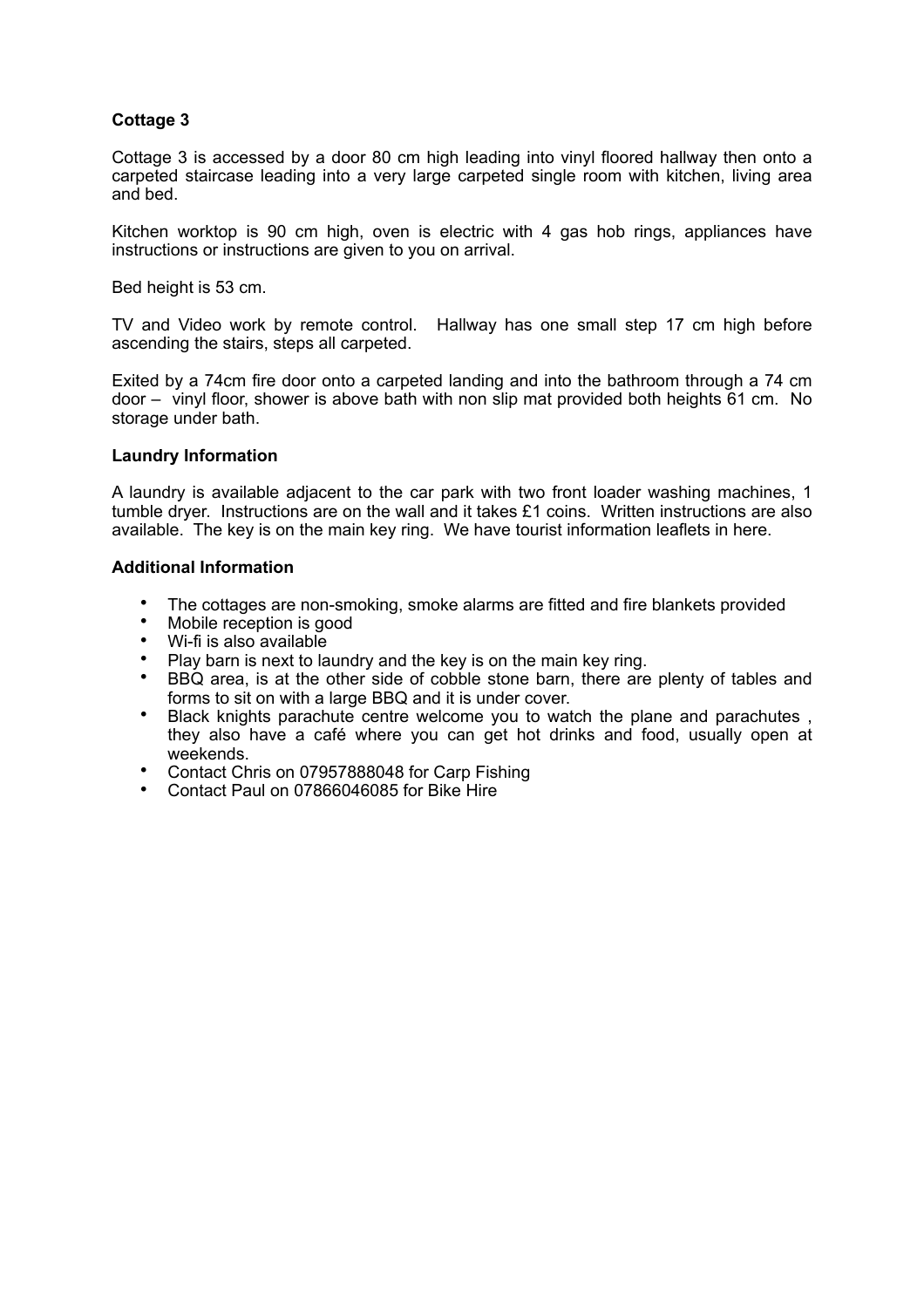Cottage 3 is accessed by a door 80 cm high leading into vinyl floored hallway then onto a carpeted staircase leading into a very large carpeted single room with kitchen, living area and bed.

Kitchen worktop is 90 cm high, oven is electric with 4 gas hob rings, appliances have instructions or instructions are given to you on arrival.

Bed height is 53 cm.

TV and Video work by remote control. Hallway has one small step 17 cm high before ascending the stairs, steps all carpeted.

Exited by a 74cm fire door onto a carpeted landing and into the bathroom through a 74 cm door – vinyl floor, shower is above bath with non slip mat provided both heights 61 cm. No storage under bath.

## **Laundry Information**

A laundry is available adjacent to the car park with two front loader washing machines, 1 tumble dryer. Instructions are on the wall and it takes £1 coins. Written instructions are also available. The key is on the main key ring. We have tourist information leaflets in here.

- The cottages are non-smoking, smoke alarms are fitted and fire blankets provided<br>• Mobile recention is good
- Mobile reception is good<br>• Wi fi is also available
- Wi-fi is also available
- Play barn is next to laundry and the key is on the main key ring.<br>• BBO area, is at the other side of cobble stope harn, there are
- BBQ area, is at the other side of cobble stone barn, there are plenty of tables and forms to sit on with a large BBQ and it is under cover.
- Black knights parachute centre welcome you to watch the plane and parachutes , they also have a café where you can get hot drinks and food, usually open at weekends.
- Contact Chris on 07957888048 for Carp Fishing
- Contact Paul on 07866046085 for Bike Hire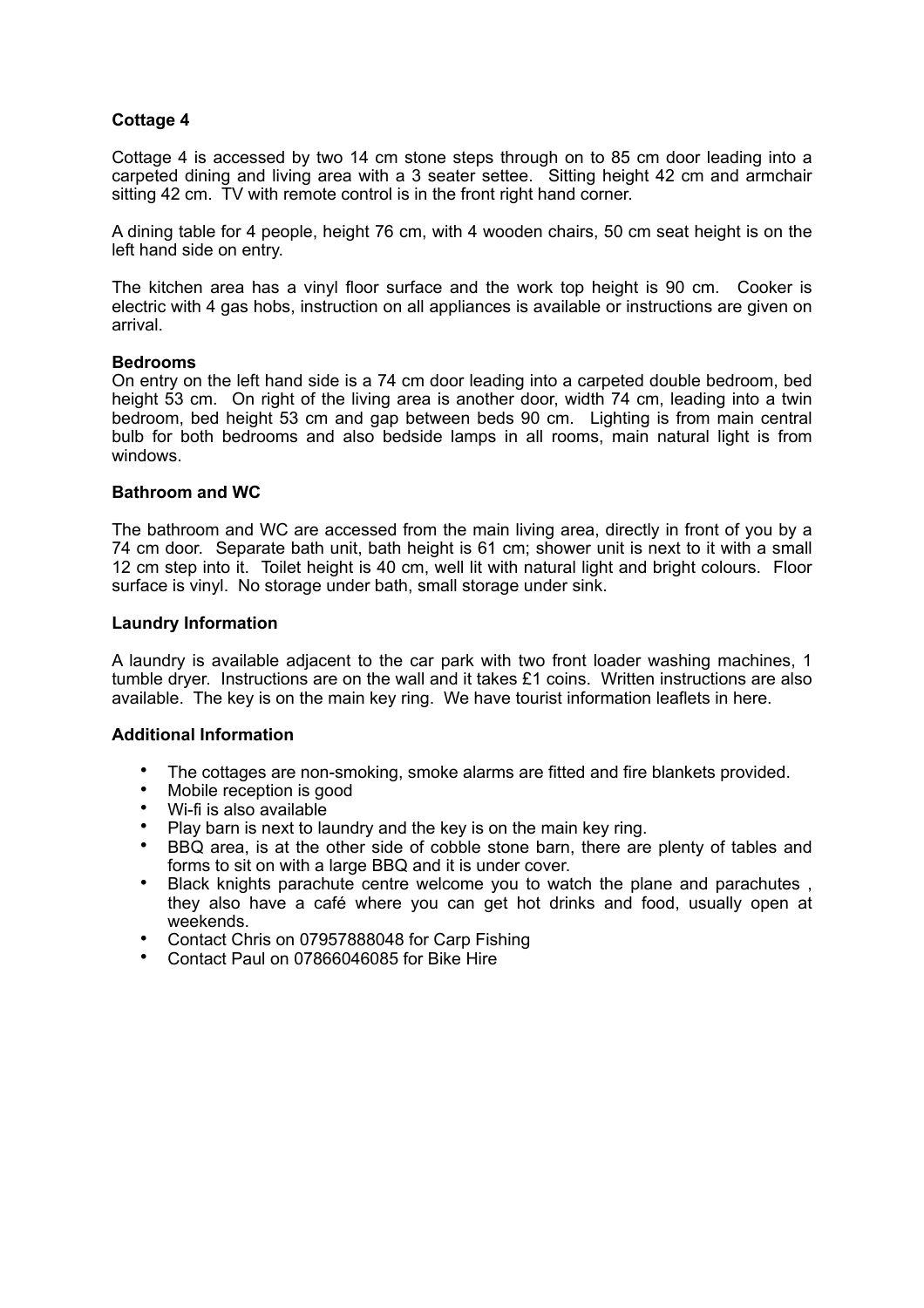Cottage 4 is accessed by two 14 cm stone steps through on to 85 cm door leading into a carpeted dining and living area with a 3 seater settee. Sitting height 42 cm and armchair sitting 42 cm. TV with remote control is in the front right hand corner.

A dining table for 4 people, height 76 cm, with 4 wooden chairs, 50 cm seat height is on the left hand side on entry.

The kitchen area has a vinyl floor surface and the work top height is 90 cm. Cooker is electric with 4 gas hobs, instruction on all appliances is available or instructions are given on arrival.

## **Bedrooms**

On entry on the left hand side is a 74 cm door leading into a carpeted double bedroom, bed height 53 cm. On right of the living area is another door, width 74 cm, leading into a twin bedroom, bed height 53 cm and gap between beds 90 cm. Lighting is from main central bulb for both bedrooms and also bedside lamps in all rooms, main natural light is from windows.

## **Bathroom and WC**

The bathroom and WC are accessed from the main living area, directly in front of you by a 74 cm door. Separate bath unit, bath height is 61 cm; shower unit is next to it with a small 12 cm step into it. Toilet height is 40 cm, well lit with natural light and bright colours. Floor surface is vinyl. No storage under bath, small storage under sink.

## **Laundry Information**

A laundry is available adjacent to the car park with two front loader washing machines, 1 tumble dryer. Instructions are on the wall and it takes £1 coins. Written instructions are also available. The key is on the main key ring. We have tourist information leaflets in here.

- The cottages are non-smoking, smoke alarms are fitted and fire blankets provided.
- Mobile reception is good
- Wi-fi is also available
- Play barn is next to laundry and the key is on the main key ring.<br>• BBO area, is at the other side of cobble stone harp, there are
- BBQ area, is at the other side of cobble stone barn, there are plenty of tables and forms to sit on with a large BBQ and it is under cover.
- Black knights parachute centre welcome you to watch the plane and parachutes , they also have a café where you can get hot drinks and food, usually open at weekends.
- Contact Chris on 07957888048 for Carp Fishing
- Contact Paul on 07866046085 for Bike Hire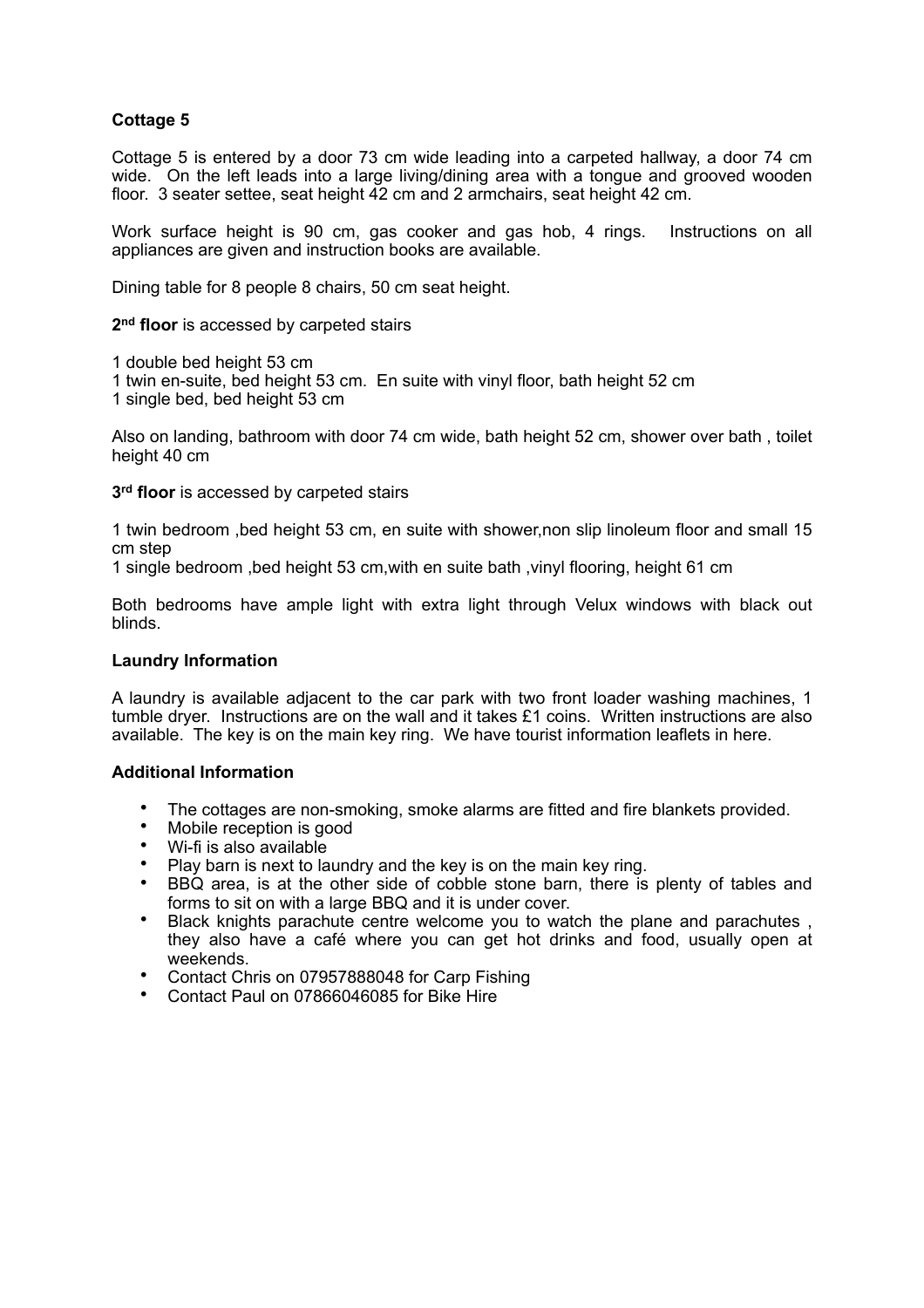Cottage 5 is entered by a door 73 cm wide leading into a carpeted hallway, a door 74 cm wide. On the left leads into a large living/dining area with a tongue and grooved wooden floor. 3 seater settee, seat height 42 cm and 2 armchairs, seat height 42 cm.

Work surface height is 90 cm, gas cooker and gas hob, 4 rings. Instructions on all appliances are given and instruction books are available.

Dining table for 8 people 8 chairs, 50 cm seat height.

2<sup>nd</sup> floor is accessed by carpeted stairs

- 1 double bed height 53 cm
- 1 twin en-suite, bed height 53 cm. En suite with vinyl floor, bath height 52 cm
- 1 single bed, bed height 53 cm

Also on landing, bathroom with door 74 cm wide, bath height 52 cm, shower over bath , toilet height 40 cm

**3<sup>rd</sup> floor** is accessed by carpeted stairs

1 twin bedroom ,bed height 53 cm, en suite with shower,non slip linoleum floor and small 15 cm step

1 single bedroom ,bed height 53 cm,with en suite bath ,vinyl flooring, height 61 cm

Both bedrooms have ample light with extra light through Velux windows with black out blinds.

## **Laundry Information**

A laundry is available adjacent to the car park with two front loader washing machines, 1 tumble dryer. Instructions are on the wall and it takes £1 coins. Written instructions are also available. The key is on the main key ring. We have tourist information leaflets in here.

- The cottages are non-smoking, smoke alarms are fitted and fire blankets provided.
- Mobile reception is good<br>• Wi fi is also available
- Wi-fi is also available
- Play barn is next to laundry and the key is on the main key ring.
- BBQ area, is at the other side of cobble stone barn, there is plenty of tables and forms to sit on with a large BBQ and it is under cover.
- Black knights parachute centre welcome you to watch the plane and parachutes , they also have a café where you can get hot drinks and food, usually open at weekends.
- Contact Chris on 07957888048 for Carp Fishing
- Contact Paul on 07866046085 for Bike Hire